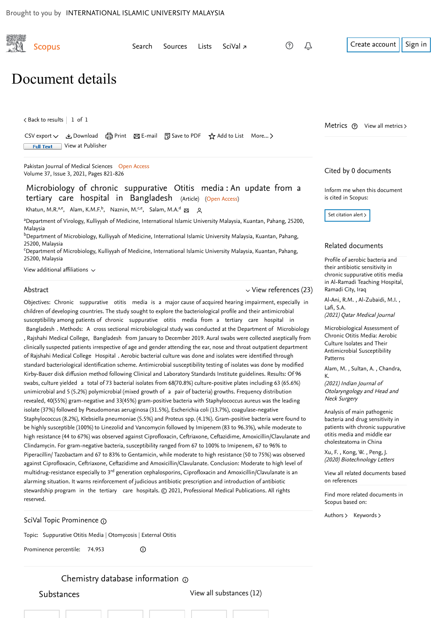<span id="page-0-1"></span>

of Rajshahi Medical College Hospital . Aerobic bacterial culture was done and isolates were identified through standard bacteriological identification scheme. Antimicrobial susceptibility testing of isolates was done by modified Kirby-Bauer disk diffusion method following Clinical and Laboratory Standards Institute guidelines. Results: Of 96 swabs, culture yielded a total of 73 bacterial isolates from 68(70.8%) culture-positive plates including 63 (65.6%) unimicrobial and 5 (5.2%) polymicrobial (mixed growth of a pair of bacteria) growths. Frequency distribution revealed, 40(55%) gram-negative and 33(45%) gram-positive bacteria with Staphylococcus aureus was the leading isolate (37%) followed by Pseudomonas aeruginosa (31.5%), Escherichia coli (13.7%), coagulase-negative Staphylococcus (8.2%), Klebsiella pneumoniae (5.5%) and Proteus spp. (4.1%). Gram-positive bacteria were found to be highly susceptible (100%) to Linezolid and Vancomycin followed by Imipenem (83 to 96.3%), while moderate to high resistance (44 to 67%) was observed against Ciprofloxacin, Ceftriaxone, Ceftazidime, Amoxicillin/Clavulanate and Clindamycin. For gram-negative bacteria, susceptibility ranged from 67 to 100% to Imipenem, 67 to 96% to Piperacillin/ Tazobactam and 67 to 83% to Gentamicin, while moderate to high resistance (50 to 75%) was observed against Ciprofloxacin, Ceftriaxone, Ceftazidime and Amoxicillin/Clavulanate. Conclusion: Moderate to high level of multidrug-resistance especially to 3<sup>rd</sup> generation cephalosporins, Ciprofloxacin and Amoxicillin/Clavulanate is an alarming situation. It warns reinforcement of judicious antibiotic prescription and introduction of antibiotic stewardship program in the tertiary care hospitals. © 2021, Professional Medical Publications. All rights reserved.

SciVal Topic Prominence

Topic: Suppurative Otitis Media | Otomycosis | External Otitis

Prominence percentile: 74.953  $\odot$ 

Substances [View all substances \(12\)](https://www-scopus-com.ezlib.iium.edu.my/record/display.uri?eid=2-s2.0-85103022597&origin=resultslist&sort=plf-f&src=s&sid=fc0bf036b531bd170bb07a83d9a89ef2&sot=b&sdt=b&sl=118&s=TITLE-ABS-KEY%28Microbiology+of+chronic+suppurative+Otitis+media%3a+An+update+from+a+tertiary+care+hospital+in+Bangladesh%29&relpos=0&citeCnt=0&searchTerm=)

Chemistry database information

<span id="page-0-0"></span>Antimicrobial Susceptibility Patterns

[, ,](https://www-scopus-com.ezlib.iium.edu.my/authid/detail.uri?origin=recordpage&authorId=57220539071&zone=relatedDocuments)  [Alam, M.](https://www-scopus-com.ezlib.iium.edu.my/authid/detail.uri?origin=recordpage&authorId=57213805392&zone=relatedDocuments) Sultan, A. Chandra, K.

(2021) Indian Journal of Otolaryngology and Head and Neck Surgery

Analysis of main pathogenic bacteria and drug sensitivity in [patients with chronic suppurative](https://www-scopus-com.ezlib.iium.edu.my/record/display.uri?origin=recordpage&zone=relatedDocuments&eid=2-s2.0-85083055112&citeCnt=0&noHighlight=false&sort=plf-f&src=s&sid=fc0bf036b531bd170bb07a83d9a89ef2&sot=b&sdt=b&sl=118&s=TITLE-ABS-KEY%28Microbiology+of+chronic+suppurative+Otitis+media%3a+An+update+from+a+tertiary+care+hospital+in+Bangladesh%29&relpos=2) otitis media and middle ear cholesteatoma in China

Xu,F. , Kong, W. , [Peng, J.](https://www-scopus-com.ezlib.iium.edu.my/authid/detail.uri?origin=recordpage&authorId=57212503712&zone=relatedDocuments) (2020) Biotechnology Letters

[View all related documents based](https://www-scopus-com.ezlib.iium.edu.my/search/submit/mlt.uri?eid=2-s2.0-85103022597&src=s&all=true&origin=recordpage&method=ref&zone=relatedDocuments) on references

Find more related documents in Scopus based on:

[Authors](https://www-scopus-com.ezlib.iium.edu.my/search/submit/mlt.uri?eid=2-s2.0-85103022597&src=s&all=true&origin=recordpage&method=aut&zone=relatedDocuments) > [Keywords](https://www-scopus-com.ezlib.iium.edu.my/search/submit/mlt.uri?eid=2-s2.0-85103022597&src=s&all=true&origin=recordpage&method=key&zone=relatedDocuments) >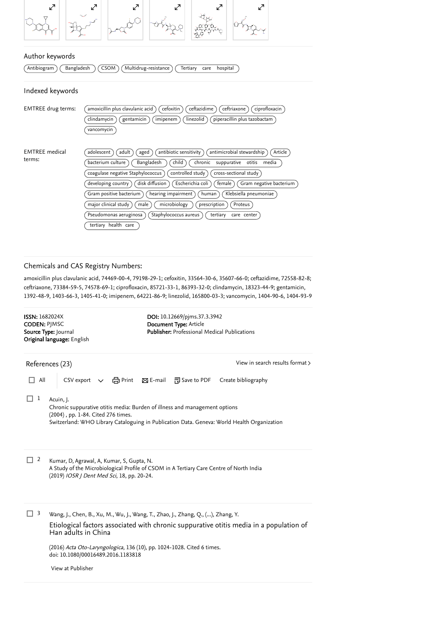

## Author keywords

 $\overline{(Antibiogram)}$   $\overline{(Bangladesh)}$   $\overline{(CSOM)}$   $\overline{(Multidrug-resistance)}$   $\overline{(Tertiary-care)$   $Rospital}$ 

### Indexed keywords

| <b>EMTREE</b> drug terms:       | cefoxitin<br>ceftazidime<br>ceftriaxone<br>ciprofloxacin<br>amoxicillin plus clavulanic acid<br>imipenem<br>clindamycin<br>gentamicin<br>linezolid<br>piperacillin plus tazobactam<br>vancomycin                                                                                                                                                                                                                                                                                                                                                                                                                                              |
|---------------------------------|-----------------------------------------------------------------------------------------------------------------------------------------------------------------------------------------------------------------------------------------------------------------------------------------------------------------------------------------------------------------------------------------------------------------------------------------------------------------------------------------------------------------------------------------------------------------------------------------------------------------------------------------------|
| <b>EMTREE</b> medical<br>terms: | adult<br>antibiotic sensitivity<br>antimicrobial stewardship<br>Article<br>adolescent<br>aged<br>child<br>Bangladesh<br>chronic<br>bacterium culture<br>suppurative<br>media<br>otitis<br>cross-sectional study<br>controlled study<br>coagulase negative Staphylococcus<br>Escherichia coli<br>disk diffusion<br>female<br>Gram negative bacterium<br>developing country<br>hearing impairment<br>Gram positive bacterium<br>Klebsiella pneumoniae<br>human<br>major clinical study<br>microbiology<br>prescription<br>Proteus<br>male<br>Pseudomonas aeruginosa<br>Staphylococcus aureus<br>tertiary<br>care center<br>tertiary health care |

### Chemicals and CAS Registry Numbers:

amoxicillin plus clavulanic acid, 74469-00-4, 79198-29-1; cefoxitin, 33564-30-6, 35607-66-0; ceftazidime, 72558-82-8; ceftriaxone, 73384-59-5, 74578-69-1; ciprofloxacin, 85721-33-1, 86393-32-0; clindamycin, 18323-44-9; gentamicin, 1392-48-9, 1403-66-3, 1405-41-0; imipenem, 64221-86-9; linezolid, 165800-03-3; vancomycin, 1404-90-6, 1404-93-9

<span id="page-1-0"></span>

| <b>ISSN:</b> 1682024X<br><b>CODEN: PIMSC</b> | Source Type: Journal<br>Original language: English                                                                                                                                                                                                                                                                                      | DOI: 10.12669/pjms.37.3.3942<br>Document Type: Article<br>Publisher: Professional Medical Publications |                                 |
|----------------------------------------------|-----------------------------------------------------------------------------------------------------------------------------------------------------------------------------------------------------------------------------------------------------------------------------------------------------------------------------------------|--------------------------------------------------------------------------------------------------------|---------------------------------|
|                                              | References (23)                                                                                                                                                                                                                                                                                                                         |                                                                                                        | View in search results format > |
| All                                          | CSV export $\vee$ $\oplus$ Print $\boxtimes$ E-mail $\Box$ Save to PDF                                                                                                                                                                                                                                                                  |                                                                                                        | Create bibliography             |
| 1                                            | Acuin, J.<br>Chronic suppurative otitis media: Burden of illness and management options<br>(2004), pp. 1-84. Cited 276 times.<br>Switzerland: WHO Library Cataloguing in Publication Data. Geneva: World Health Organization                                                                                                            |                                                                                                        |                                 |
| 2                                            | Kumar, D, Agrawal, A, Kumar, S, Gupta, N.<br>A Study of the Microbiological Profile of CSOM in A Tertiary Care Centre of North India<br>(2019) IOSR J Dent Med Sci, 18, pp. 20-24.                                                                                                                                                      |                                                                                                        |                                 |
| 3                                            | Wang, J., Chen, B., Xu, M., Wu, J., Wang, T., Zhao, J., Zhang, Q., (), Zhang, Y.<br>Etiological factors associated with chronic suppurative otitis media in a population of<br>Han adults in China<br>(2016) Acta Oto-Laryngologica, 136 (10), pp. 1024-1028. Cited 6 times.<br>doi: 10.1080/00016489.2016.1183818<br>View at Publisher |                                                                                                        |                                 |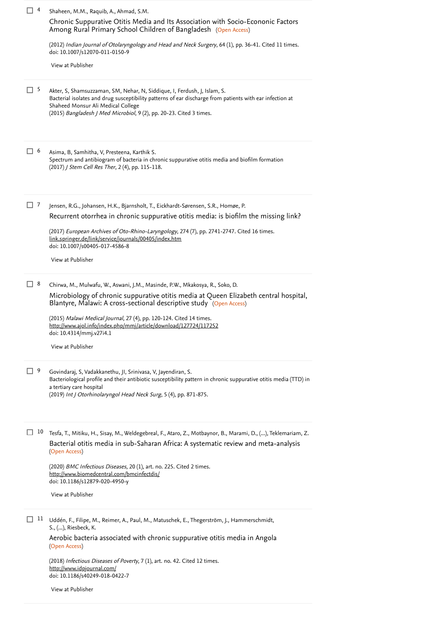| $\Box$ 4     |    | Shaheen, M.M., Raquib, A., Ahmad, S.M.                                                                                                                                                                                                                                                                                                                                                                                                    |
|--------------|----|-------------------------------------------------------------------------------------------------------------------------------------------------------------------------------------------------------------------------------------------------------------------------------------------------------------------------------------------------------------------------------------------------------------------------------------------|
|              |    | Chronic Suppurative Otitis Media and Its Association with Socio-Econonic Factors<br>Among Rural Primary School Children of Bangladesh (Open Access)                                                                                                                                                                                                                                                                                       |
|              |    | (2012) Indian Journal of Otolaryngology and Head and Neck Surgery, 64 (1), pp. 36-41. Cited 11 times.<br>doi: 10.1007/s12070-011-0150-9                                                                                                                                                                                                                                                                                                   |
|              |    | View at Publisher                                                                                                                                                                                                                                                                                                                                                                                                                         |
| $\Box$ 5     |    | Akter, S, Shamsuzzaman, SM, Nehar, N, Siddique, I, Ferdush, J, Islam, S.<br>Bacterial isolates and drug susceptibility patterns of ear discharge from patients with ear infection at<br>Shaheed Monsur Ali Medical College<br>(2015) Bangladesh J Med Microbiol, 9 (2), pp. 20-23. Cited 3 times.                                                                                                                                         |
| $\Box$ 6     |    | Asima, B, Samhitha, V, Presteena, Karthik S.<br>Spectrum and antibiogram of bacteria in chronic suppurative otitis media and biofilm formation<br>(2017) J Stem Cell Res Ther, 2 (4), pp. 115-118.                                                                                                                                                                                                                                        |
| $\Box$ 7     |    | Jensen, R.G., Johansen, H.K., Bjarnsholt, T., Eickhardt-Sørensen, S.R., Homøe, P.                                                                                                                                                                                                                                                                                                                                                         |
|              |    | Recurrent otorrhea in chronic suppurative otitis media: is biofilm the missing link?<br>(2017) European Archives of Oto-Rhino-Laryngology, 274 (7), pp. 2741-2747. Cited 16 times.<br>link.springer.de/link/service/journals/00405/index.htm<br>doi: 10.1007/s00405-017-4586-8                                                                                                                                                            |
|              |    | View at Publisher                                                                                                                                                                                                                                                                                                                                                                                                                         |
| $\Box$ 8     |    | Chirwa, M., Mulwafu, W., Aswani, J.M., Masinde, P.W., Mkakosya, R., Soko, D.<br>Microbiology of chronic suppurative otitis media at Queen Elizabeth central hospital,<br>Blantyre, Malawi: A cross-sectional descriptive study (Open Access)<br>(2015) Malawi Medical Journal, 27 (4), pp. 120-124. Cited 14 times.<br>http://www.ajol.info/index.php/mmj/article/download/127724/117252<br>doi: 10.4314/mmj.v27i4.1<br>View at Publisher |
| $\square$ 9  |    | Govindaraj, S, Vadakkanethu, JI, Srinivasa, V, Jayendiran, S.<br>Bacteriological profile and their antibiotic susceptibility pattern in chronic suppurative otitis media (TTD) in<br>a tertiary care hospital<br>(2019) Int J Otorhinolaryngol Head Neck Surg, 5 (4), pp. 871-875.                                                                                                                                                        |
|              | 10 | Tesfa, T., Mitiku, H., Sisay, M., Weldegebreal, F., Ataro, Z., Motbaynor, B., Marami, D., (), Teklemariam, Z.<br>Bacterial otitis media in sub-Saharan Africa: A systematic review and meta-analysis<br>(Open Access)<br>(2020) BMC Infectious Diseases, 20 (1), art. no. 225. Cited 2 times.<br>http://www.biomedcentral.com/bmcinfectdis/<br>doi: 10.1186/s12879-020-4950-y<br>View at Publisher                                        |
| $\mathsf{L}$ | 11 | Uddén, F., Filipe, M., Reimer, A., Paul, M., Matuschek, E., Thegerström, J., Hammerschmidt,<br>S., (), Riesbeck, K.<br>Aerobic bacteria associated with chronic suppurative otitis media in Angola<br>(Open Access)<br>(2018) Infectious Diseases of Poverty, 7 (1), art. no. 42. Cited 12 times.<br>http://www.idpjournal.com/<br>doi: 10.1186/s40249-018-0422-7                                                                         |
|              |    | View at Publisher                                                                                                                                                                                                                                                                                                                                                                                                                         |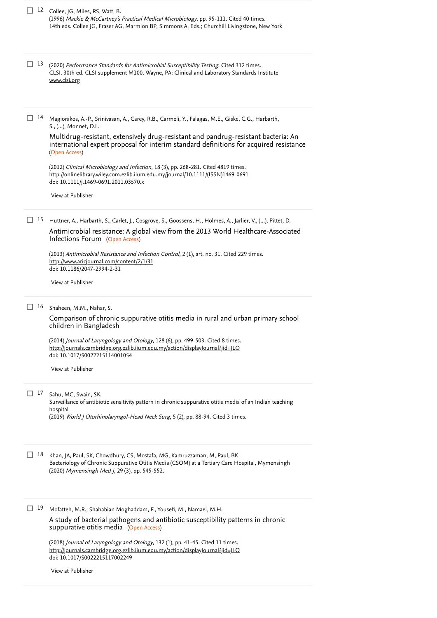|               | $\Box$ 12 Collee, JG, Miles, RS, Watt, B.<br>(1996) Mackie & McCartney's Practical Medical Microbiology, pp. 95-111. Cited 40 times.<br>14th eds. Collee JG, Fraser AG, Marmion BP, Simmons A, Eds.; Churchill Livingstone, New York                                                                                                                                                                        |
|---------------|-------------------------------------------------------------------------------------------------------------------------------------------------------------------------------------------------------------------------------------------------------------------------------------------------------------------------------------------------------------------------------------------------------------|
| $\Box$ 13     | (2020) Performance Standards for Antimicrobial Susceptibility Testing. Cited 312 times.<br>CLSI. 30th ed. CLSI supplement M100. Wayne, PA: Clinical and Laboratory Standards Institute<br>www.clsi.org                                                                                                                                                                                                      |
| 14            | Magiorakos, A.-P., Srinivasan, A., Carey, R.B., Carmeli, Y., Falagas, M.E., Giske, C.G., Harbarth,<br>S., (), Monnet, D.L.<br>Multidrug-resistant, extensively drug-resistant and pandrug-resistant bacteria: An<br>international expert proposal for interim standard definitions for acquired resistance<br>(Open Access)                                                                                 |
|               | (2012) Clinical Microbiology and Infection, 18 (3), pp. 268-281. Cited 4819 times.<br>http://onlinelibrary.wiley.com.ezlib.iium.edu.my/journal/10.1111/(ISSN)1469-0691<br>doi: 10.1111/j.1469-0691.2011.03570.x<br>View at Publisher                                                                                                                                                                        |
| $\Box$ 15     | Huttner, A., Harbarth, S., Carlet, J., Cosgrove, S., Goossens, H., Holmes, A., Jarlier, V., (), Pittet, D.<br>Antimicrobial resistance: A global view from the 2013 World Healthcare-Associated<br>Infections Forum (Open Access)<br>(2013) Antimicrobial Resistance and Infection Control, 2(1), art. no. 31. Cited 229 times.<br>http://www.aricjournal.com/content/2/1/31<br>doi: 10.1186/2047-2994-2-31 |
|               | View at Publisher                                                                                                                                                                                                                                                                                                                                                                                           |
| 16<br>$\perp$ | Shaheen, M.M., Nahar, S.<br>Comparison of chronic suppurative otitis media in rural and urban primary school<br>children in Bangladesh<br>(2014) Journal of Laryngology and Otology, 128 (6), pp. 499-503. Cited 8 times.<br>http://journals.cambridge.org.ezlib.iium.edu.my/action/displayJournal?jid=JLO<br>doi: 10.1017/S0022215114001054<br>View at Publisher                                           |
| $\Box$ 17     | Sahu, MC, Swain, SK.<br>Surveillance of antibiotic sensitivity pattern in chronic suppurative otitis media of an Indian teaching<br>hospital<br>(2019) World J Otorhinolaryngol-Head Neck Surg, 5 (2), pp. 88-94. Cited 3 times.                                                                                                                                                                            |
| 18            | Khan, JA, Paul, SK, Chowdhury, CS, Mostafa, MG, Kamruzzaman, M, Paul, BK<br>Bacteriology of Chronic Suppurative Otitis Media (CSOM) at a Tertiary Care Hospital, Mymensingh<br>(2020) Mymensingh Med J, 29 (3), pp. 545-552.                                                                                                                                                                                |
| $\Box$ 19     | Mofatteh, M.R., Shahabian Moghaddam, F., Yousefi, M., Namaei, M.H.<br>A study of bacterial pathogens and antibiotic susceptibility patterns in chronic<br>suppurative otitis media (Open Access)<br>(2018) Journal of Laryngology and Otology, 132 (1), pp. 41-45. Cited 11 times.<br>http://journals.cambridge.org.ezlib.iium.edu.my/action/displayJournal?jid=JLO<br>doi: 10.1017/S0022215117002249       |

[View at Publisher](https://www-scopus-com.ezlib.iium.edu.my/redirect/linking.uri?targetURL=https%3a%2f%2fdoi.org%2f10.1017%2fS0022215117002249&locationID=3&categoryID=4&eid=2-s2.0-85034601653&issn=17485460&linkType=ViewAtPublisher&year=2018&origin=reflist&dig=c7973b02223e0bb0a79aae3651f8c9da)